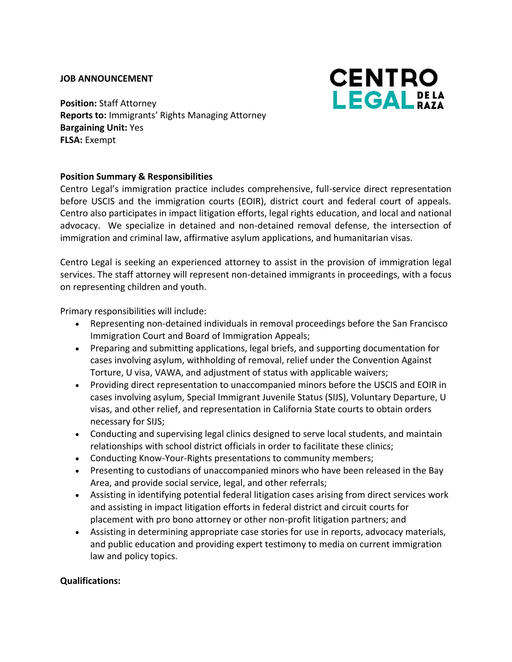#### **JOB ANNOUNCEMENT**



**Position:** Staff Attorney **Reports to:** Immigrants' Rights Managing Attorney **Bargaining Unit:** Yes **FLSA:** Exempt

### **Position Summary & Responsibilities**

Centro Legal's immigration practice includes comprehensive, full-service direct representation before USCIS and the immigration courts (EOIR), district court and federal court of appeals. Centro also participates in impact litigation efforts, legal rights education, and local and national advocacy. We specialize in detained and non-detained removal defense, the intersection of immigration and criminal law, affirmative asylum applications, and humanitarian visas.

Centro Legal is seeking an experienced attorney to assist in the provision of immigration legal services. The staff attorney will represent non-detained immigrants in proceedings, with a focus on representing children and youth.

Primary responsibilities will include:

- Representing non-detained individuals in removal proceedings before the San Francisco Immigration Court and Board of Immigration Appeals;
- Preparing and submitting applications, legal briefs, and supporting documentation for cases involving asylum, withholding of removal, relief under the Convention Against Torture, U visa, VAWA, and adjustment of status with applicable waivers;
- Providing direct representation to unaccompanied minors before the USCIS and EOIR in cases involving asylum, Special Immigrant Juvenile Status (SIJS), Voluntary Departure, U visas, and other relief, and representation in California State courts to obtain orders necessary for SIJS;
- Conducting and supervising legal clinics designed to serve local students, and maintain relationships with school district officials in order to facilitate these clinics;
- Conducting Know-Your-Rights presentations to community members;
- Presenting to custodians of unaccompanied minors who have been released in the Bay Area, and provide social service, legal, and other referrals;
- Assisting in identifying potential federal litigation cases arising from direct services work and assisting in impact litigation efforts in federal district and circuit courts for placement with pro bono attorney or other non-profit litigation partners; and
- Assisting in determining appropriate case stories for use in reports, advocacy materials, and public education and providing expert testimony to media on current immigration law and policy topics.

### **Qualifications:**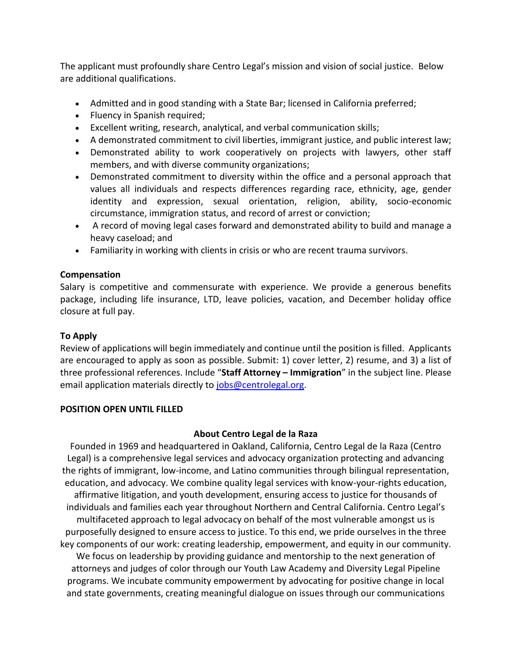The applicant must profoundly share Centro Legal's mission and vision of social justice. Below are additional qualifications.

- Admitted and in good standing with a State Bar; licensed in California preferred;
- Fluency in Spanish required;
- Excellent writing, research, analytical, and verbal communication skills;
- A demonstrated commitment to civil liberties, immigrant justice, and public interest law;
- Demonstrated ability to work cooperatively on projects with lawyers, other staff members, and with diverse community organizations;
- Demonstrated commitment to diversity within the office and a personal approach that values all individuals and respects differences regarding race, ethnicity, age, gender identity and expression, sexual orientation, religion, ability, socio-economic circumstance, immigration status, and record of arrest or conviction;
- A record of moving legal cases forward and demonstrated ability to build and manage a heavy caseload; and
- Familiarity in working with clients in crisis or who are recent trauma survivors.

# **Compensation**

Salary is competitive and commensurate with experience. We provide a generous benefits package, including life insurance, LTD, leave policies, vacation, and December holiday office closure at full pay.

# **To Apply**

Review of applications will begin immediately and continue until the position is filled. Applicants are encouraged to apply as soon as possible. Submit: 1) cover letter, 2) resume, and 3) a list of three professional references. Include "**Staff Attorney – Immigration**" in the subject line. Please email application materials directly to [jobs@centrolegal.org.](mailto:jobs@centrolegal.org)

### **POSITION OPEN UNTIL FILLED**

# **About Centro Legal de la Raza**

Founded in 1969 and headquartered in Oakland, California, Centro Legal de la Raza (Centro Legal) is a comprehensive legal services and advocacy organization protecting and advancing the rights of immigrant, low-income, and Latino communities through bilingual representation, education, and advocacy. We combine quality legal services with know-your-rights education, affirmative litigation, and youth development, ensuring access to justice for thousands of individuals and families each year throughout Northern and Central California. Centro Legal's multifaceted approach to legal advocacy on behalf of the most vulnerable amongst us is purposefully designed to ensure access to justice. To this end, we pride ourselves in the three key components of our work: creating leadership, empowerment, and equity in our community. We focus on leadership by providing guidance and mentorship to the next generation of attorneys and judges of color through our Youth Law Academy and Diversity Legal Pipeline programs. We incubate community empowerment by advocating for positive change in local and state governments, creating meaningful dialogue on issues through our communications